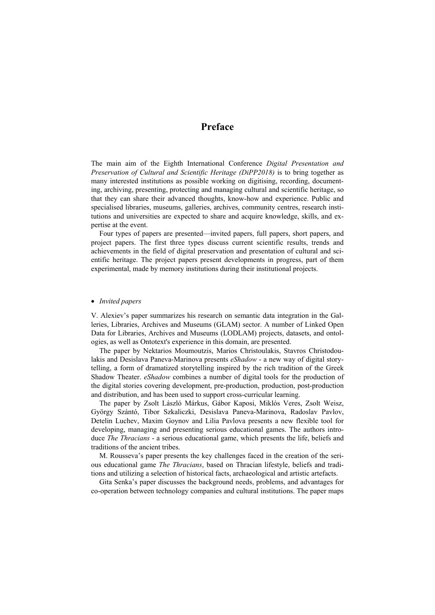# **Preface**

The main aim of the Eighth International Conference *Digital Presentation and Preservation of Cultural and Scientific Heritage (DiPP2018)* is to bring together as many interested institutions as possible working on digitising, recording, documenting, archiving, presenting, protecting and managing cultural and scientific heritage, so that they can share their advanced thoughts, know-how and experience. Public and specialised libraries, museums, galleries, archives, community centres, research institutions and universities are expected to share and acquire knowledge, skills, and expertise at the event.

Four types of papers are presented—invited papers, full papers, short papers, and project papers. The first three types discuss current scientific results, trends and achievements in the field of digital preservation and presentation of cultural and scientific heritage. The project papers present developments in progress, part of them experimental, made by memory institutions during their institutional projects.

## *Invited papers*

V. Alexiev's paper summarizes his research on semantic data integration in the Galleries, Libraries, Archives and Museums (GLAM) sector. A number of Linked Open Data for Libraries, Archives and Museums (LODLAM) projects, datasets, and ontologies, as well as Ontotext's experience in this domain, are presented.

The paper by Nektarios Moumoutzis, Marios Christoulakis, Stavros Christodoulakis and Desislava Paneva-Marinova presents *eShadow* - a new way of digital storytelling, a form of dramatized storytelling inspired by the rich tradition of the Greek Shadow Theater. *eShadow* combines a number of digital tools for the production of the digital stories covering development, pre-production, production, post-production and distribution, and has been used to support cross-curricular learning.

The paper by Zsolt László Márkus, Gábor Kaposi, Miklós Veres, Zsolt Weisz, György Szántó, Tibor Szkaliczki, Desislava Paneva-Marinova, Radoslav Pavlov, Detelin Luchev, Maxim Goynov and Lilia Pavlova presents a new flexible tool for developing, managing and presenting serious educational games. The authors introduce *The Thracians* - a serious educational game, which presents the life, beliefs and traditions of the ancient tribes.

M. Rousseva's paper presents the key challenges faced in the creation of the serious educational game *The Thracians*, based on Thracian lifestyle, beliefs and traditions and utilizing a selection of historical facts, archaeological and artistic artefacts.

Gita Senka's paper discusses the background needs, problems, and advantages for co-operation between technology companies and cultural institutions. The paper maps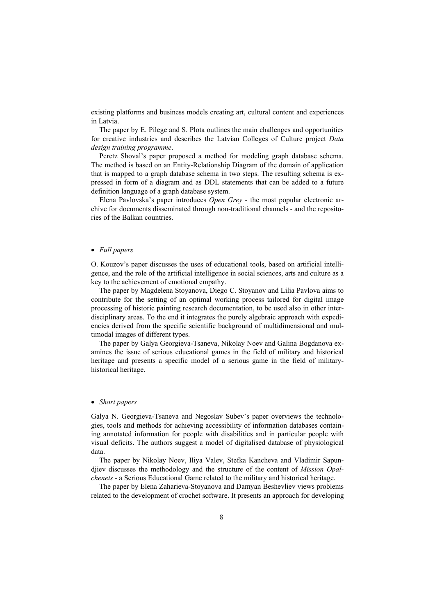existing platforms and business models creating art, cultural content and experiences in Latvia.

The paper by E. Pilege and S. Plota outlines the main challenges and opportunities for creative industries and describes the Latvian Colleges of Culture project *Data design training programme*.

Peretz Shoval's paper proposed a method for modeling graph database schema. The method is based on an Entity-Relationship Diagram of the domain of application that is mapped to a graph database schema in two steps. The resulting schema is expressed in form of a diagram and as DDL statements that can be added to a future definition language of a graph database system.

Elena Pavlovska's paper introduces *Open Grey* - the most popular electronic archive for documents disseminated through non-traditional channels - and the repositories of the Balkan countries.

## *Full papers*

O. Kouzov's paper discusses the uses of educational tools, based on artificial intelligence, and the role of the artificial intelligence in social sciences, arts and culture as a key to the achievement of emotional empathy.

The paper by Magdelena Stoyanova, Diego C. Stoyanov and Lilia Pavlova aims to contribute for the setting of an optimal working process tailored for digital image processing of historic painting research documentation, to be used also in other interdisciplinary areas. To the end it integrates the purely algebraic approach with expediencies derived from the specific scientific background of multidimensional and multimodal images of different types.

The paper by Galya Georgieva-Tsaneva, Nikolay Noev and Galina Bogdanova examines the issue of serious educational games in the field of military and historical heritage and presents a specific model of a serious game in the field of militaryhistorical heritage.

#### *Short papers*

Galya N. Georgieva-Tsaneva and Negoslav Subev's paper overviews the technologies, tools and methods for achieving accessibility of information databases containing annotated information for people with disabilities and in particular people with visual deficits. The authors suggest a model of digitalised database of physiological data.

The paper by Nikolay Noev, Iliya Valev, Stefka Kancheva and Vladimir Sapundjiev discusses the methodology and the structure of the content of *Mission Opalchenets* - a Serious Educational Game related to the military and historical heritage.

The paper by Elena Zaharieva-Stoyanova and Damyan Beshevliev views problems related to the development of crochet software. It presents an approach for developing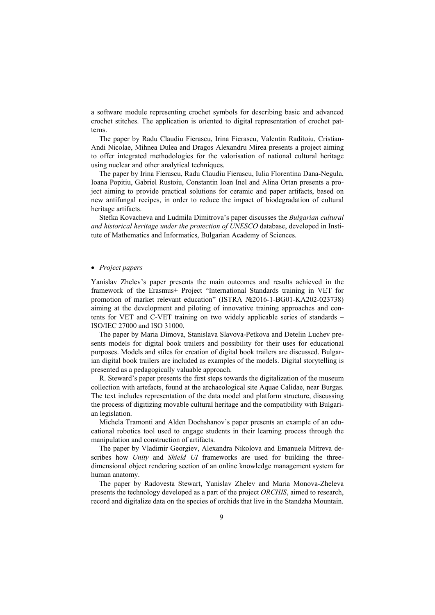a software module representing crochet symbols for describing basic and advanced crochet stitches. The application is oriented to digital representation of crochet patterns.

The paper by Radu Claudiu Fierascu, Irina Fierascu, Valentin Raditoiu, Cristian-Andi Nicolae, Mihnea Dulea and Dragos Alexandru Mirea presents a project aiming to offer integrated methodologies for the valorisation of national cultural heritage using nuclear and other analytical techniques.

The paper by Irina Fierascu, Radu Claudiu Fierascu, Iulia Florentina Dana-Negula, Ioana Popitiu, Gabriel Rustoiu, Constantin Ioan Inel and Alina Ortan presents a project aiming to provide practical solutions for ceramic and paper artifacts, based on new antifungal recipes, in order to reduce the impact of biodegradation of cultural heritage artifacts.

Stefka Kovacheva and Ludmila Dimitrova's paper discusses the *Bulgarian cultural and historical heritage under the protection of UNESCO* database, developed in Institute of Mathematics and Informatics, Bulgarian Academy of Sciences.

#### *Project papers*

Yanislav Zhelev's paper presents the main outcomes and results achieved in the framework of the Erasmus+ Project "International Standards training in VET for promotion of market relevant education" (ISTRA №2016-1-BG01-KA202-023738) aiming at the development and piloting of innovative training approaches and contents for VET and C-VET training on two widely applicable series of standards – ISO/IEC 27000 and ISO 31000.

The paper by Maria Dimova, Stanislava Slavova-Petkova and Detelin Luchev presents models for digital book trailers and possibility for their uses for educational purposes. Models and stiles for creation of digital book trailers are discussed. Bulgarian digital book trailers are included as examples of the models. Digital storytelling is presented as a pedagogically valuable approach.

R. Steward's paper presents the first steps towards the digitalization of the museum collection with artefacts, found at the archaeological site Aquae Calidae, near Burgas. The text includes representation of the data model and platform structure, discussing the process of digitizing movable cultural heritage and the compatibility with Bulgarian legislation.

Michela Tramonti and Alden Dochshanov's paper presents an example of an educational robotics tool used to engage students in their learning process through the manipulation and construction of artifacts.

The paper by Vladimir Georgiev, Alexandra Nikolova and Emanuela Mitreva describes how *Unity* and *Shield UI* frameworks are used for building the threedimensional object rendering section of an online knowledge management system for human anatomy.

The paper by Radovesta Stewart, Yanislav Zhelev and Maria Monova-Zheleva presents the technology developed as a part of the project *ORCHIS*, aimed to research, record and digitalize data on the species of orchids that live in the Standzha Mountain.